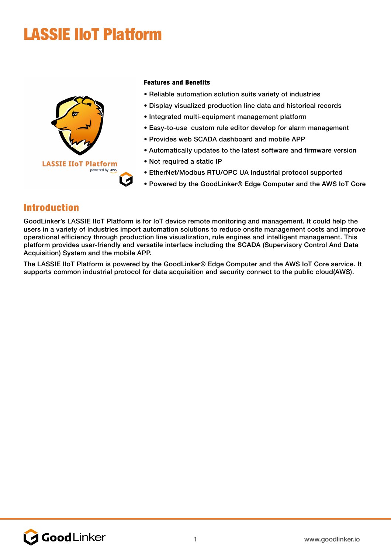# LASSIE IIoT Platform



#### Features and Benefits

- Reliable automation solution suits variety of industries
- Display visualized production line data and historical records
- Integrated multi-equipment management platform
- Easy-to-use custom rule editor develop for alarm management
- Provides web SCADA dashboard and mobile APP
- Automatically updates to the latest software and firmware version
- Not required a static IP
- EtherNet/Modbus RTU/OPC UA industrial protocol supported
- Powered by the GoodLinker® Edge Computer and the AWS IoT Core

#### Introduction

GoodLinker's LASSIE IIoT Platform is for IoT device remote monitoring and management. It could help the users in a variety of industries import automation solutions to reduce onsite management costs and improve operational efficiency through production line visualization, rule engines and intelligent management. This platform provides user-friendly and versatile interface including the SCADA (Supervisory Control And Data Acquisition) System and the mobile APP.

The LASSIE IIoT Platform is powered by the GoodLinker® Edge Computer and the AWS IoT Core service. It supports common industrial protocol for data acquisition and security connect to the public cloud(AWS).